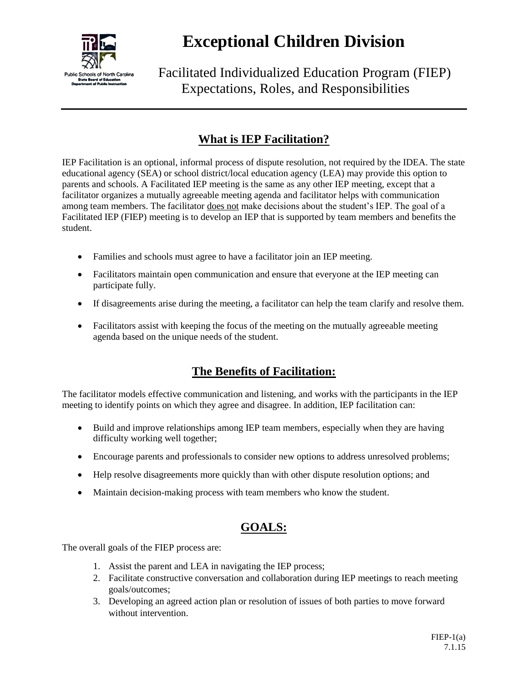

## **Exceptional Children Division**

Facilitated Individualized Education Program (FIEP) Expectations, Roles, and Responsibilities

## **What is IEP Facilitation?**

IEP Facilitation is an optional, informal process of dispute resolution, not required by the IDEA. The state educational agency (SEA) or school district/local education agency (LEA) may provide this option to parents and schools. A Facilitated IEP meeting is the same as any other IEP meeting, except that a facilitator organizes a mutually agreeable meeting agenda and facilitator helps with communication among team members. The facilitator does not make decisions about the student's IEP. The goal of a Facilitated IEP (FIEP) meeting is to develop an IEP that is supported by team members and benefits the student.

- Families and schools must agree to have a facilitator join an IEP meeting.
- Facilitators maintain open communication and ensure that everyone at the IEP meeting can participate fully.
- If disagreements arise during the meeting, a facilitator can help the team clarify and resolve them.
- Facilitators assist with keeping the focus of the meeting on the mutually agreeable meeting agenda based on the unique needs of the student.

### **The Benefits of Facilitation:**

The facilitator models effective communication and listening, and works with the participants in the IEP meeting to identify points on which they agree and disagree. In addition, IEP facilitation can:

- Build and improve relationships among IEP team members, especially when they are having difficulty working well together;
- Encourage parents and professionals to consider new options to address unresolved problems;
- Help resolve disagreements more quickly than with other dispute resolution options; and
- Maintain decision-making process with team members who know the student.

### **GOALS:**

The overall goals of the FIEP process are:

- 1. Assist the parent and LEA in navigating the IEP process;
- 2. Facilitate constructive conversation and collaboration during IEP meetings to reach meeting goals/outcomes;
- 3. Developing an agreed action plan or resolution of issues of both parties to move forward without intervention.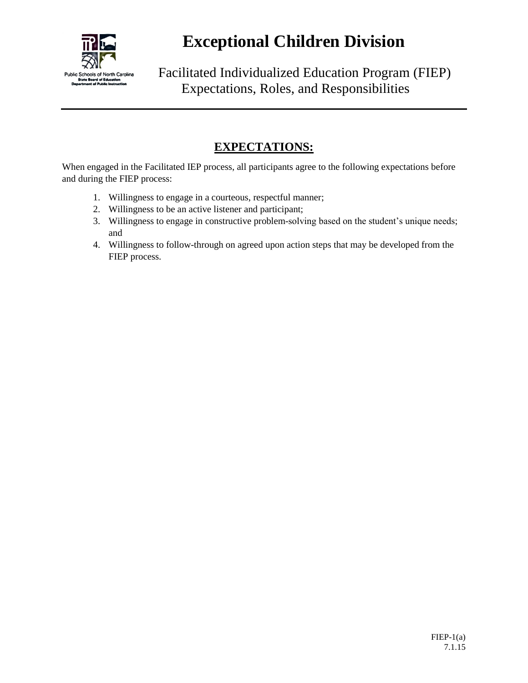

## **Exceptional Children Division**

Facilitated Individualized Education Program (FIEP) Expectations, Roles, and Responsibilities

#### **EXPECTATIONS:**

When engaged in the Facilitated IEP process, all participants agree to the following expectations before and during the FIEP process:

- 1. Willingness to engage in a courteous, respectful manner;
- 2. Willingness to be an active listener and participant;
- 3. Willingness to engage in constructive problem-solving based on the student's unique needs; and
- 4. Willingness to follow-through on agreed upon action steps that may be developed from the FIEP process.